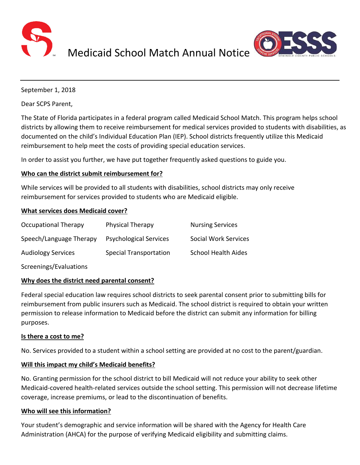

Medicaid School Match Annual Notice



September 1, 2018

Dear SCPS Parent,

The State of Florida participates in a federal program called Medicaid School Match. This program helps school districts by allowing them to receive reimbursement for medical services provided to students with disabilities, as documented on the child's Individual Education Plan (IEP). School districts frequently utilize this Medicaid reimbursement to help meet the costs of providing special education services.

In order to assist you further, we have put together frequently asked questions to guide you.

## **Who can the district submit reimbursement for?**

While services will be provided to all students with disabilities, school districts may only receive reimbursement for services provided to students who are Medicaid eligible.

### **What services does Medicaid cover?**

| Occupational Therapy      | Physical Therapy              | <b>Nursing Services</b>     |
|---------------------------|-------------------------------|-----------------------------|
| Speech/Language Therapy   | <b>Psychological Services</b> | <b>Social Work Services</b> |
| <b>Audiology Services</b> | <b>Special Transportation</b> | <b>School Health Aides</b>  |
| Screenings/Evaluations    |                               |                             |

# **Why does the district need parental consent?**

Federal special education law requires school districts to seek parental consent prior to submitting bills for reimbursement from public insurers such as Medicaid. The school district is required to obtain your written permission to release information to Medicaid before the district can submit any information for billing purposes.

### **Is there a cost to me?**

No. Services provided to a student within a school setting are provided at no cost to the parent/guardian.

### **Will this impact my child's Medicaid benefits?**

No. Granting permission for the school district to bill Medicaid will not reduce your ability to seek other Medicaid-covered health-related services outside the school setting. This permission will not decrease lifetime coverage, increase premiums, or lead to the discontinuation of benefits.

### **Who will see this information?**

Your student's demographic and service information will be shared with the Agency for Health Care Administration (AHCA) for the purpose of verifying Medicaid eligibility and submitting claims.